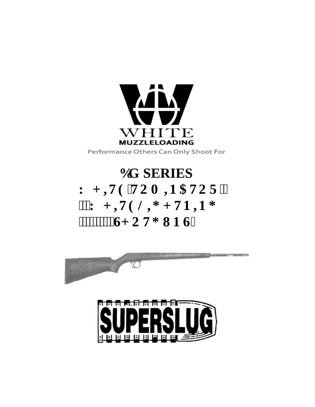

**DG SERIES** Y J **KVG'VQO IP CVQT'(** "'Y J **WGNH** J **VP RPI 6.000 WDP UP UP UP UP UP** 



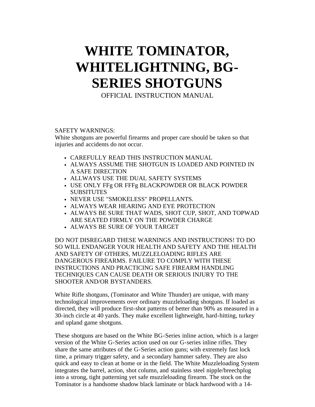# **WHITE TOMINATOR, WHITELIGHTNING, BG-SERIES SHOTGUNS**

OFFICIAL INSTRUCTION MANUAL

## SAFETY WARNINGS:

White shotguns are powerful firearms and proper care should be taken so that injuries and accidents do not occur.

- CAREFULLY READ THIS INSTRUCTION MANUAL
- ALWAYS ASSUME THE SHOTGUN IS LOADED AND POINTED IN A SAFE DIRECTION
- ALLWAYS USE THE DUAL SAFETY SYSTEMS
- USE ONLY FFg OR FFFg BLACKPOWDER OR BLACK POWDER SUBSITUTES
- NEVER USE "SMOKELESS" PROPELLANTS.
- ALWAYS WEAR HEARING AND EYE PROTECTION
- ALWAYS BE SURE THAT WADS, SHOT CUP, SHOT, AND TOPWAD ARE SEATED FIRMLY ON THE POWDER CHARGE
- ALWAYS BE SURE OF YOUR TARGET

DO NOT DISREGARD THESE WARNINGS AND INSTRUCTIONS! TO DO SO WILL ENDANGER YOUR HEALTH AND SAFETY AND THE HEALTH AND SAFETY OF OTHERS, MUZZLELOADING RIFLES ARE DANGEROUS FIREARMS. FAILURE TO COMPLY WITH THESE INSTRUCTIONS AND PRACTICING SAFE FIREARM HANDLING TECHNIQUES CAN CAUSE DEATH OR SERIOUS INJURY TO THE SHOOTER AND/OR BYSTANDERS.

White Rifle shotguns, (Tominator and White Thunder) are unique, with many technological improvements over ordinary muzzleloading shotguns. If loaded as directed, they will produce first-shot patterns of better than 90% as measured in a 30-inch circle at 40 yards. They make excellent lightweight, hard-hitting, turkey and upland game shotguns.

These shotguns are based on the White BG-Series inline action, which is a larger version of the White G-Series action used on our G-series inline rifles. They share the same attributes of the G-Series action guns; with extremely fast lock time, a primary trigger safety, and a secondary hammer safety. They are also quick and easy to clean at home or in the field. The White Muzzleloading System integrates the barrel, action, shot column, and stainless steel nipple/breechplug into a strong, tight patterning yet safe muzzleloading firearm. The stock on the Tominator is a handsome shadow black laminate or black hardwood with a 14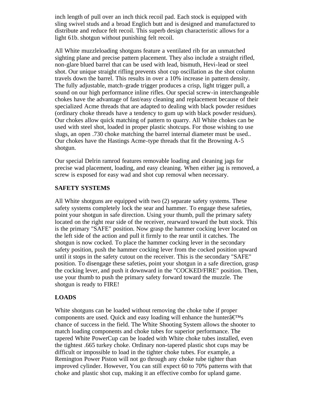inch length of pull over an inch thick recoil pad. Each stock is equipped with sling swivel studs and a broad Englich butt and is designed and manufactured to distribute and reduce felt recoil. This superb design characteristic allows for a light 61b. shotgun without punishing felt recoil.

All White muzzleloading shotguns feature a ventilated rib for an unmatched sighting plane and precise pattern placement. They also include a straight rifled, non-glare blued barrel that can be used with lead, bismuth, Hevi-lead or steel shot. Our unique straight rifling prevents shot cup oscillation as the shot column travels down the barrel. This results in over a 10% increase in pattern density. The fully adjustable, match-grade trigger produces a crisp, light trigger pull, a sound on our high performance inline rifles. Our special screw-in interchangeable chokes have the advantage of fast/easy cleaning and replacement because of their specialized Acme threads that are adapted to dealing with black powder residues (ordinary choke threads have a tendency to gum up with black powder residues). Our chokes allow quick matching of pattern to quarry. All White chokes can be used with steel shot, loaded in proper plastic shotcups. For those wishing to use slugs, an open .730 choke matching the barrel internal diameter must be used.. Our chokes have the Hastings Acme-type threads that fit the Browning A-5 shotgun.

Our special Delrin ramrod features removable loading and cleaning jags for precise wad placement, loading, and easy cleaning. When either jag is removed, a screw is exposed for easy wad and shot cup removal when necessary.

## **SAFETY SYSTEMS**

All White shotguns are equipped with two (2) separate safety systems. These safety systems completely lock the sear and hammer. To engage these safeties, point your shotgun in safe direction. Using your thumb, pull the primary safety located on the right rear side of the receiver, rearward toward the butt stock. This is the primary "SAFE" position. Now grasp the hammer cocking lever located on the left side of the action and pull it firmly to the rear until it catches. The shotgun is now cocked. To place the hammer cocking lever in the secondary safety position, push the hammer cocking lever from the cocked position upward until it stops in the safety cutout on the receiver. This is the secondary "SAFE" position. To disengage these safeties, point your shotgun in a safe direction, grasp the cocking lever, and push it downward in the "COCKED/FlRE" position. Then, use your thumb to push the primary safety forward toward the muzzle. The shotgun is ready to FIRE!

## **LOADS**

White shotguns can be loaded without removing the choke tube if proper components are used. Quick and easy loading will enhance the hunter $\hat{a} \in M_s$ chance of success in the field. The White Shooting System allows the shooter to match loading components and choke tubes for superior performance. The tapered White PowerCup can be loaded with White choke tubes installed, even the tightest .665 turkey choke. Ordinary non-tapered plastic shot cups may be difficult or impossible to load in the tighter choke tubes. For example, a Remington Power Piston will not go through any choke tube tighter than improved cylinder. However, You can still expect 60 to 70% patterns with that choke and plastic shot cup, making it an effective combo for upland game.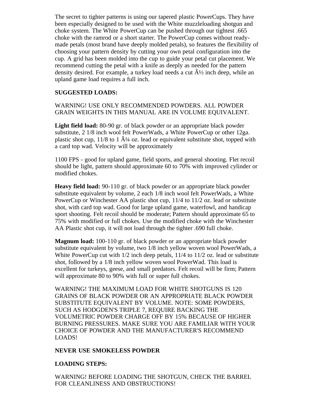The secret to tighter patterns is using our tapered plastic PowerCups. They have been especially designed to be used with the White muzzleloading shotgun and choke system. The White PowerCup can be pushed through our tightest .665 choke with the ramrod or a short starter. The PowerCup comes without readymade petals (most brand have deeply molded petals), so features the flexibility of choosing your pattern density by cutting your own petal configuration into the cup. A grid has been molded into the cup to guide your petal cut placement. We recommend cutting the petal with a knife as deeply as needed for the pattern density desired. For example, a turkey load needs a cut  $\hat{A}$  inch deep, while an upland game load requires a full inch.

## **SUGGESTED LOADS:**

## WARNING! USE ONLY RECOMMENDED POWDERS. ALL POWDER GRAIN WEIGHTS IN THIS MANUAL ARE IN VOLUME EQUIVALENT.

**Light field load:** 80-90 gr. of black powder or an appropriate black powder substitute, 2 1/8 inch wool felt PowerWads, a White PowerCup or other 12ga. plastic shot cup,  $11/8$  to 1  $\hat{A}^{1/4}$  oz. lead or equivalent substitute shot, topped with a card top wad. Velocity will be approximately

1100 FPS - good for upland game, field sports, and general shooting. Flet recoil should be light, pattern should approximate 60 to 70% with improved cylinder or modified chokes.

**Heavy field load:** 90-110 gr. of black powder or an appropriate black powder substitute equivalent by volume, 2 each 1/8 inch wool felt PowerWads, a White PowerCup or Winchester AA plastic shot cup, 11/4 to 11/2 oz. lead or substitute shot, with card top wad. Good for large upland game, waterfowl, and handicap sport shooting. Felt recoil should be moderate; Pattern should approximate 65 to 75% with modified or full chokes. Use the modified choke with the Winchester AA Plastic shot cup, it will not load through the tighter .690 full choke.

**Magnum load:** 100-110 gr. of black powder or an appropriate black powder substitute equivalent by volume, two 1/8 inch yellow woven wool PowerWads, a White PowerCup cut with  $1/2$  inch deep petals,  $11/4$  to  $11/2$  oz. lead or substitute shot, followed by a 1/8 inch yellow woven wool PowerWad. This load is excellent for turkeys, geese, and small predators. Felt recoil will be firm; Pattern will approximate 80 to 90% with full or super full chokes.

WARNING! THE MAXIMUM LOAD FOR WHITE SHOTGUNS IS 120 GRAINS OF BLACK POWDER OR AN APPROPRIATE BLACK POWDER SUBSTITUTE EQUIVALENT BY VOLUME. NOTE: SOME POWDERS, SUCH AS HODGDEN'S TRIPLE 7, REQUIRE BACKING THE VOLUMETRIC POWDER CHARGE OFF BY 15% BECAUSE OF HIGHER BURNING PRESSURES. MAKE SURE YOU ARE FAMILIAR WITH YOUR CHOICE OF POWDER AND THE MANUFACTURER'S RECOMMEND LOADS!

#### **NEVER USE SMOKELESS POWDER**

## **LOADING STEPS:**

WARNING! BEFORE LOADING THE SHOTGUN, CHECK THE BARREL FOR CLEANLINESS AND OBSTRUCTIONS!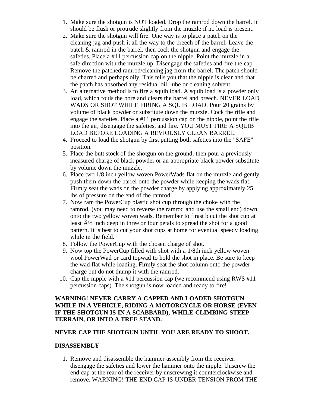- 1. Make sure the shotgun is NOT loaded. Drop the ramrod down the barrel. It should be flush or protrude slightly from the muzzle if no load is present.
- 2. Make sure the shotgun will fire. One way is to place a patch on the cleaning jag and push it all the way to the breech of the barrel. Leave the patch & ramrod in the barrel, then cock the shotgun and engage the safeties. Place a #11 percussion cap on the nipple. Point the muzzle in a safe direction with the muzzle up. Disengage the safeties and fire the cap. Remove the patched ramrod/cleaning jag from the barrel. The patch should be charred and perhaps oily. This tells you that the nipple is clear and that the patch has absorbed any residual oil, lube or cleaning solvent.
- 3. An alternative method is to fire a squib load. A squib load is a powder only load, which fouls the bore and clears the barrel and breech. NEVER LOAD WADS OR SHOT WHILE FIRING A SQUIB LOAD. Pour 20 grains by volume of black powder or substitute down the muzzle. Cock the rifle and engage the safeties. Place a #11 percussion cap on the nipple, point the rifle into the air, disengage the safeties, and fire. YOU MUST FIRE A SQUIB LOAD BEFORE LOADING A REVIOUSLY CLEAN BARREL!
- 4. Proceed to load the shotgun by first putting both safeties into the "SAFE" position.
- 5. Place the butt stock of the shotgun on the ground, then pour a previously measured charge of black powder or an appropriate black powder substitute by volume down the muzzle.
- 6. Place two 1/8 inch yellow woven PowerWads flat on the muzzle and gently push them down the barrel onto the powder while keeping the wads flat. Firmly seat the wads on the powder charge by applying approximately 25 lbs of pressure on the end of the ramrod.
- 7. Now ram the PowerCup plastic shot cup through the choke with the ramrod, (you may need to reverse the ramrod and use the small end) down onto the two yellow woven wads. Remember to firast b cut the shot cup at least  $\hat{A}$  inch deep in three or four petals to spread the shot for a good pattern. It is best to cut your shot cups at home for eventual speedy loading while in the field.
- 8. Follow the PowerCup with the chosen charge of shot.
- 9. Now top the PowerCup filled with shot with a 1/8th inch yellow woven wool PowerWad or card topwad to hold the shot in place. Be sure to keep the wad flat while loading. Firmly seat the shot column onto the powder charge but do not thump it with the ramrod.
- 10. Cap the nipple with a #11 percussion cap (we recommend using RWS #11 percussion caps). The shotgun is now loaded and ready to fire!

## **WARNING! NEVER CARRY A CAPPED AND LOADED SHOTGUN WHILE IN A VEHICLE, RIDING A MOTORCYCLE OR HORSE (EVEN IF THE SHOTGUN IS IN A SCABBARD), WHILE CLIMBING STEEP TERRAIN, OR INTO A TREE STAND.**

## **NEVER CAP THE SHOTGUN UNTIL YOU ARE READY TO SHOOT.**

## **DISASSEMBLY**

1. Remove and disassemble the hammer assembly from the receiver: disengage the safeties and lower the hammer onto the nipple. Unscrew the end cap at the rear of the receiver by unscrewing it counterclockwise and remove. WARNING! THE END CAP IS UNDER TENSION FROM THE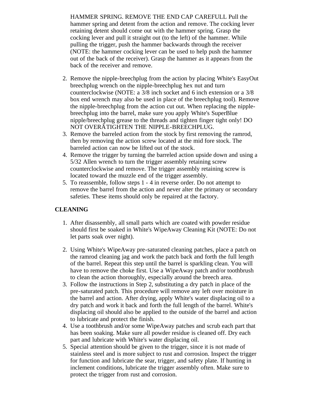HAMMER SPRING. REMOVE THE END CAP CAREFULL Pull the hammer spring and detent from the action and remove. The cocking lever retaining detent should come out with the hammer spring. Grasp the cocking lever and pull it straight out (to the left) of the hammer. While pulling the trigger, push the hammer backwards through the receiver (NOTE: the hammer cocking lever can be used to help push the hammer out of the back of the receiver). Grasp the hammer as it appears from the back of the receiver and remove.

- 2. Remove the nipple-breechplug from the action by placing White's EasyOut breechplug wrench on the nipple-breechplug hex nut and turn counterclockwise (NOTE: a 3/8 inch socket and 6 inch extension or a 3/8 box end wrench may also be used in place of the breechplug tool). Remove the nipple-breechplug from the action cut out. When replacing the nipplebreechplug into the barrel, make sure you apply White's SuperBlue nipple/breechplug grease to the threads and tighten finger tight only! DO NOT OVERÂTIGHTEN THE NIPPLE-BREECHPLUG.
- 3. Remove the barreled action from the stock by first removing the ramrod, then by removing the action screw located at the mid fore stock. The barreled action can now be lifted out of the stock.
- 4. Remove the trigger by turning the barreled action upside down and using a 5/32 Allen wrench to turn the trigger assembly retaining screw counterclockwise and remove. The trigger assembly retaining screw is located toward the muzzle end of the trigger assembly.
- 5. To reassemble, follow steps 1 4 in reverse order. Do not attempt to remove the barrel from the action and never alter the primary or secondary safeties. These items should only be repaired at the factory.

## **CLEANING**

- 1. After disassembly, all small parts which are coated with powder residue should first be soaked in White's WipeAway Cleaning Kit (NOTE: Do not let parts soak over night).
- 2. Using White's WipeAway pre-saturated cleaning patches, place a patch on the ramrod cleaning jag and work the patch back and forth the full length of the barrel. Repeat this step until the barrel is sparkling clean. You will have to remove the choke first. Use a WipeAway patch and/or toothbrush to clean the action thoroughly, especially around the breech area.
- 3. Follow the instructions in Step 2, substituting a dry patch in place of the pre-saturated patch. This procedure will remove any left over moisture in the barrel and action. After drying, apply White's water displacing oil to a dry patch and work it back and forth the full length of the barrel. White's displacing oil should also be applied to the outside of the barrel and action to lubricate and protect the finish.
- 4. Use a toothbrush and/or some WipeAway patches and scrub each part that has been soaking. Make sure all powder residue is cleaned off. Dry each part and lubricate with White's water displacing oil.
- 5. Special attention should be given to the trigger, since it is not made of stainless steel and is more subject to rust and corrosion. Inspect the trigger for function and lubricate the sear, trigger, and safety plate. If hunting in inclement conditions, lubricate the trigger assembly often. Make sure to protect the trigger from rust and corrosion.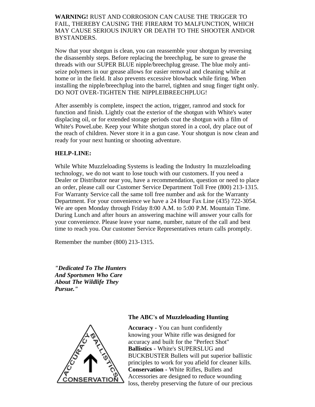**WARNING!** RUST AND CORROSION CAN CAUSE THE TRIGGER TO FAIL, THEREBY CAUSING THE FIREARM TO MALFUNCTION, WHICH MAY CAUSE SERIOUS INJURY OR DEATH TO THE SHOOTER AND/OR BYSTANDERS.

Now that your shotgun is clean, you can reassemble your shotgun by reversing the disassembly steps. Before replacing the breechplug, be sure to grease the threads with our SUPER BLUE nipple/breechplug grease. The blue moly antiseize polymers in our grease allows for easier removal and cleaning while at home or in the field. It also prevents excessive blowback while firing. When installing the nipple/breechplug into the barrel, tighten and snug finger tight only. DO NOT OVER-TIGHTEN THE NIPPLEIBREECHPLUG!

After assembly is complete, inspect the action, trigger, ramrod and stock for function and finish. Lightly coat the exterior of the shotgun with White's water displacing oil, or for extended storage periods coat the shotgun with a film of White's PoweLube. Keep your White shotgun stored in a cool, dry place out of the reach of children. Never store it in a gun case. Your shotgun is now clean and ready for your next hunting or shooting adventure.

## **HELP-LINE:**

While White Muzzleloading Systems is leading the Industry In muzzleloading technology, we do not want to lose touch with our customers. If you need a Dealer or Distributor near you, have a recommendation, question or need to place an order, please call our Customer Service Department Toll Free (800) 213-1315. For Warranty Service call the same toll free number and ask for the Warranty Department. For your convenience we have a 24 Hour Fax Line (435) 722-3054. We are open Monday through Friday 8:00 A.M. to 5:00 P.M. Mountain Time. During Lunch and after hours an answering machine will answer your calls for your convenience. Please leave your name, number, nature of the call and best time to reach you. Our customer Service Representatives return calls promptly.

Remember the number (800) 213-1315.

*"Dedicated To The Hunters And Sportsmen Who Care About The Wildlife They Pursue."*



#### **The ABC's of Muzzleloading Hunting**

**Accuracy -** You can hunt confidently knowing your White rifle was designed for accuracy and built for the "Perfect Shot" **Ballistics -** White's SUPERSLUG and BUCKBUSTER Bullets will put superior ballistic principles to work for you afield for cleaner kills. **Conservation -** White Rifles, Bullets and Accessories are designed to reduce wounding loss, thereby preserving the future of our precious